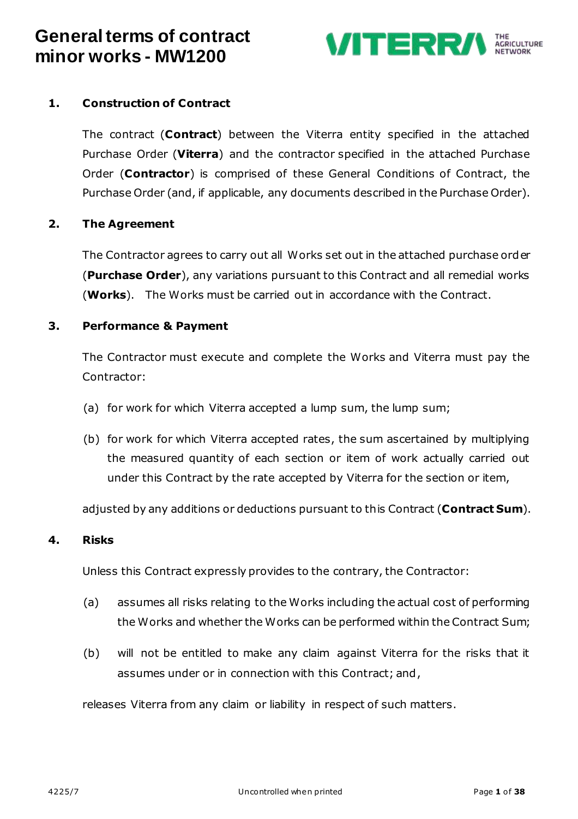

### <span id="page-0-0"></span>**1. Construction of Contract**

The contract (**Contract**) between the Viterra entity specified in the attached Purchase Order (**Viterra**) and the contractor specified in the attached Purchase Order (**Contractor**) is comprised of these General Conditions of Contract, the Purchase Order (and, if applicable, any documents described in the Purchase Order).

#### <span id="page-0-2"></span>**2. The Agreement**

The Contractor agrees to carry out all Works set out in the attached purchase order (**Purchase Order**), any variations pursuant to this Contract and all remedial works (**Works**). The Works must be carried out in accordance with the Contract.

#### <span id="page-0-1"></span>**3. Performance & Payment**

The Contractor must execute and complete the Works and Viterra must pay the Contractor:

- (a) for work for which Viterra accepted a lump sum, the lump sum;
- (b) for work for which Viterra accepted rates, the sum ascertained by multiplying the measured quantity of each section or item of work actually carried out under this Contract by the rate accepted by Viterra for the section or item,

adjusted by any additions or deductions pursuant to this Contract (**Contract Sum**).

#### **4. Risks**

Unless this Contract expressly provides to the contrary, the Contractor:

- (a) assumes all risks relating to the Works including the actual cost of performing the Works and whether the Works can be performed within the Contract Sum;
- (b) will not be entitled to make any claim against Viterra for the risks that it assumes under or in connection with this Contract; and,

releases Viterra from any claim or liability in respect of such matters.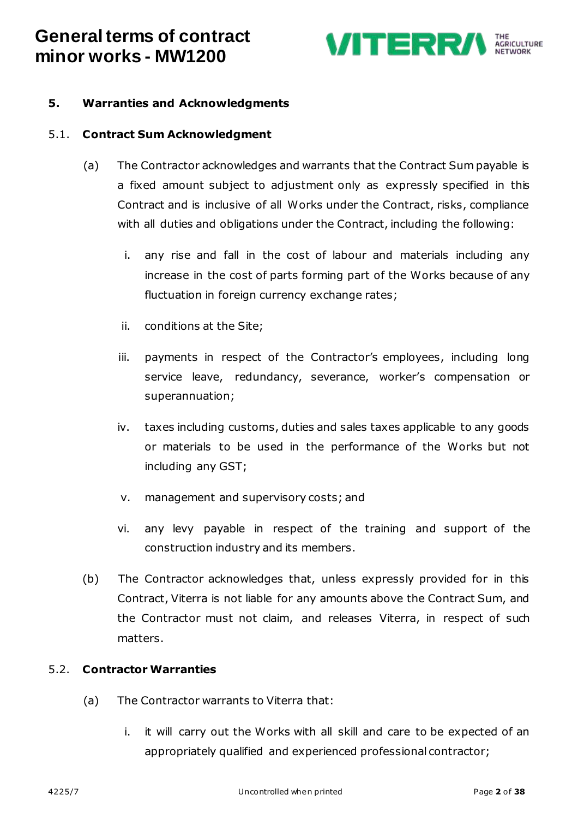

### <span id="page-1-0"></span>**5. Warranties and Acknowledgments**

#### 5.1. **Contract Sum Acknowledgment**

- (a) The Contractor acknowledges and warrants that the Contract Sum payable is a fixed amount subject to adjustment only as expressly specified in this Contract and is inclusive of all Works under the Contract, risks, compliance with all duties and obligations under the Contract, including the following:
	- i. any rise and fall in the cost of labour and materials including any increase in the cost of parts forming part of the Works because of any fluctuation in foreign currency exchange rates;
	- ii. conditions at the Site;
	- iii. payments in respect of the Contractor's employees, including long service leave, redundancy, severance, worker's compensation or superannuation;
	- iv. taxes including customs, duties and sales taxes applicable to any goods or materials to be used in the performance of the Works but not including any GST;
	- v. management and supervisory costs; and
	- vi. any levy payable in respect of the training and support of the construction industry and its members.
- (b) The Contractor acknowledges that, unless expressly provided for in this Contract, Viterra is not liable for any amounts above the Contract Sum, and the Contractor must not claim, and releases Viterra, in respect of such matters.

#### 5.2. **Contractor Warranties**

- (a) The Contractor warrants to Viterra that:
	- i. it will carry out the Works with all skill and care to be expected of an appropriately qualified and experienced professional contractor;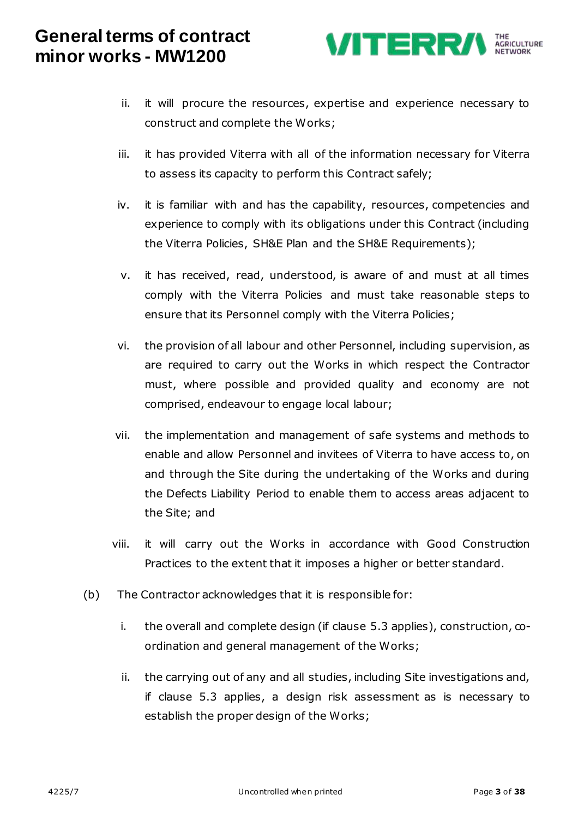

- ii. it will procure the resources, expertise and experience necessary to construct and complete the Works;
- iii. it has provided Viterra with all of the information necessary for Viterra to assess its capacity to perform this Contract safely;
- iv. it is familiar with and has the capability, resources, competencies and experience to comply with its obligations under this Contract (including the Viterra Policies, SH&E Plan and the SH&E Requirements);
- v. it has received, read, understood, is aware of and must at all times comply with the Viterra Policies and must take reasonable steps to ensure that its Personnel comply with the Viterra Policies;
- vi. the provision of all labour and other Personnel, including supervision, as are required to carry out the Works in which respect the Contractor must, where possible and provided quality and economy are not comprised, endeavour to engage local labour;
- vii. the implementation and management of safe systems and methods to enable and allow Personnel and invitees of Viterra to have access to, on and through the Site during the undertaking of the Works and during the Defects Liability Period to enable them to access areas adjacent to the Site; and
- viii. it will carry out the Works in accordance with Good Construction Practices to the extent that it imposes a higher or better standard.
- (b) The Contractor acknowledges that it is responsible for:
	- i. the overall and complete design (if clause  $5.3$  applies), construction,  $\infty$ ordination and general management of the Works;
	- ii. the carrying out of any and all studies, including Site investigations and, if clause [5.3](#page-3-0) applies, a design risk assessment as is necessary to establish the proper design of the Works;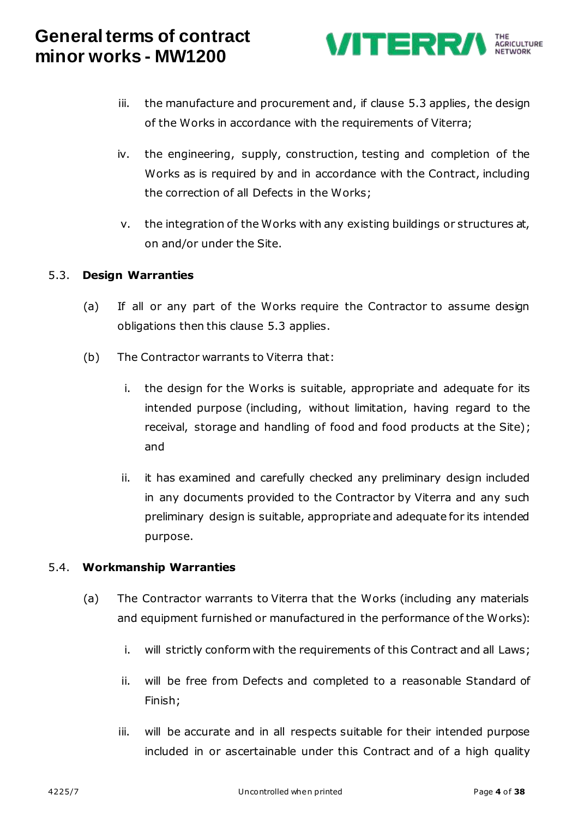

- iii. the manufacture and procurement and, if clause [5.3](#page-3-0) applies, the design of the Works in accordance with the requirements of Viterra;
- iv. the engineering, supply, construction, testing and completion of the Works as is required by and in accordance with the Contract, including the correction of all Defects in the Works;
- v. the integration of the Works with any existing buildings or structures at, on and/or under the Site.

#### <span id="page-3-0"></span>5.3. **Design Warranties**

- (a) If all or any part of the Works require the Contractor to assume design obligations then this clause [5.3](#page-3-0) applies.
- (b) The Contractor warrants to Viterra that:
	- i. the design for the Works is suitable, appropriate and adequate for its intended purpose (including, without limitation, having regard to the receival, storage and handling of food and food products at the Site); and
	- ii. it has examined and carefully checked any preliminary design included in any documents provided to the Contractor by Viterra and any such preliminary design is suitable, appropriate and adequate for its intended purpose.

#### 5.4. **Workmanship Warranties**

- (a) The Contractor warrants to Viterra that the Works (including any materials and equipment furnished or manufactured in the performance of the Works):
	- i. will strictly conform with the requirements of this Contract and all Laws;
	- ii. will be free from Defects and completed to a reasonable Standard of Finish;
	- iii. will be accurate and in all respects suitable for their intended purpose included in or ascertainable under this Contract and of a high quality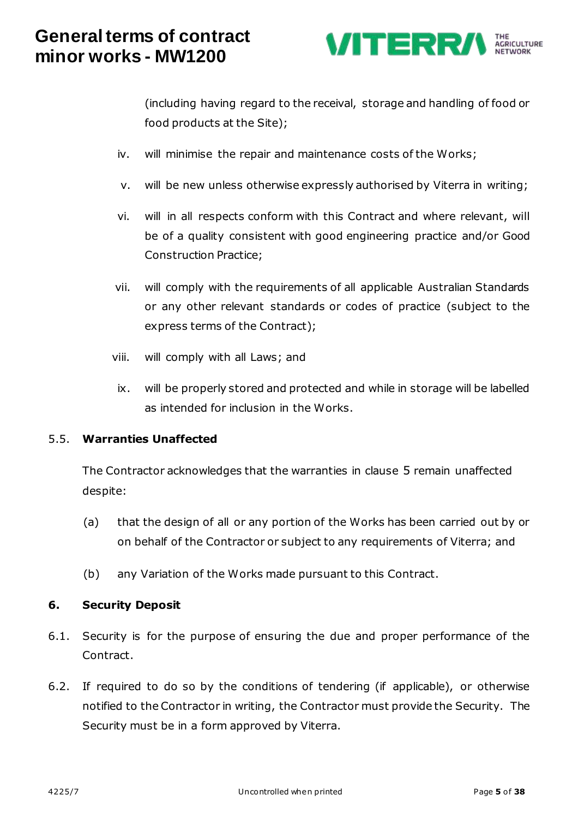

(including having regard to the receival, storage and handling of food or food products at the Site);

- iv. will minimise the repair and maintenance costs of the Works;
- v. will be new unless otherwise expressly authorised by Viterra in writing;
- vi. will in all respects conform with this Contract and where relevant, will be of a quality consistent with good engineering practice and/or Good Construction Practice;
- vii. will comply with the requirements of all applicable Australian Standards or any other relevant standards or codes of practice (subject to the express terms of the Contract);
- viii. will comply with all Laws; and
- ix. will be properly stored and protected and while in storage will be labelled as intended for inclusion in the Works.

#### 5.5. **Warranties Unaffected**

The Contractor acknowledges that the warranties in clause [5](#page-1-0) remain unaffected despite:

- (a) that the design of all or any portion of the Works has been carried out by or on behalf of the Contractor or subject to any requirements of Viterra; and
- (b) any Variation of the Works made pursuant to this Contract.

#### **6. Security Deposit**

- 6.1. Security is for the purpose of ensuring the due and proper performance of the Contract.
- 6.2. If required to do so by the conditions of tendering (if applicable), or otherwise notified to the Contractor in writing, the Contractor must provide the Security. The Security must be in a form approved by Viterra.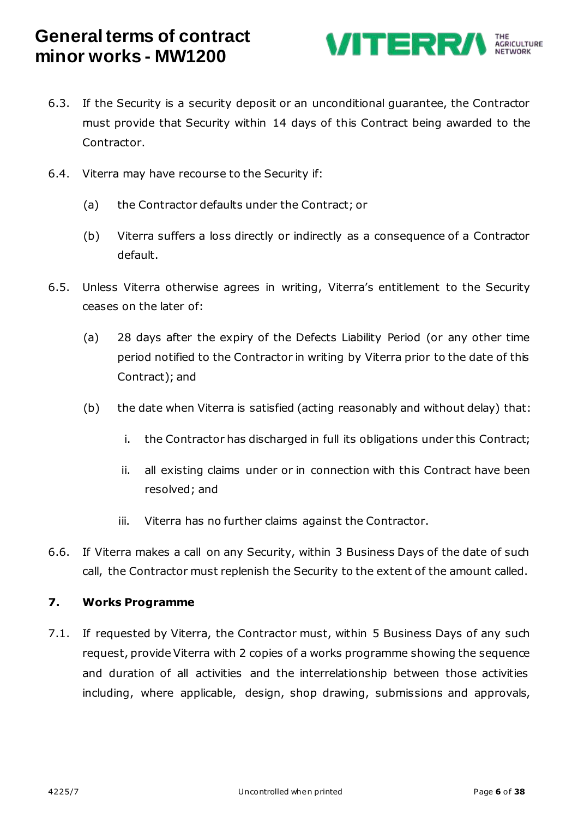

- 6.3. If the Security is a security deposit or an unconditional guarantee, the Contractor must provide that Security within 14 days of this Contract being awarded to the Contractor.
- 6.4. Viterra may have recourse to the Security if:
	- (a) the Contractor defaults under the Contract; or
	- (b) Viterra suffers a loss directly or indirectly as a consequence of a Contractor default.
- 6.5. Unless Viterra otherwise agrees in writing, Viterra's entitlement to the Security ceases on the later of:
	- (a) 28 days after the expiry of the Defects Liability Period (or any other time period notified to the Contractor in writing by Viterra prior to the date of this Contract); and
	- (b) the date when Viterra is satisfied (acting reasonably and without delay) that:
		- i. the Contractor has discharged in full its obligations under this Contract;
		- ii. all existing claims under or in connection with this Contract have been resolved; and
		- iii. Viterra has no further claims against the Contractor.
- 6.6. If Viterra makes a call on any Security, within 3 Business Days of the date of such call, the Contractor must replenish the Security to the extent of the amount called.

#### **7. Works Programme**

7.1. If requested by Viterra, the Contractor must, within 5 Business Days of any such request, provide Viterra with 2 copies of a works programme showing the sequence and duration of all activities and the interrelationship between those activities including, where applicable, design, shop drawing, submissions and approvals,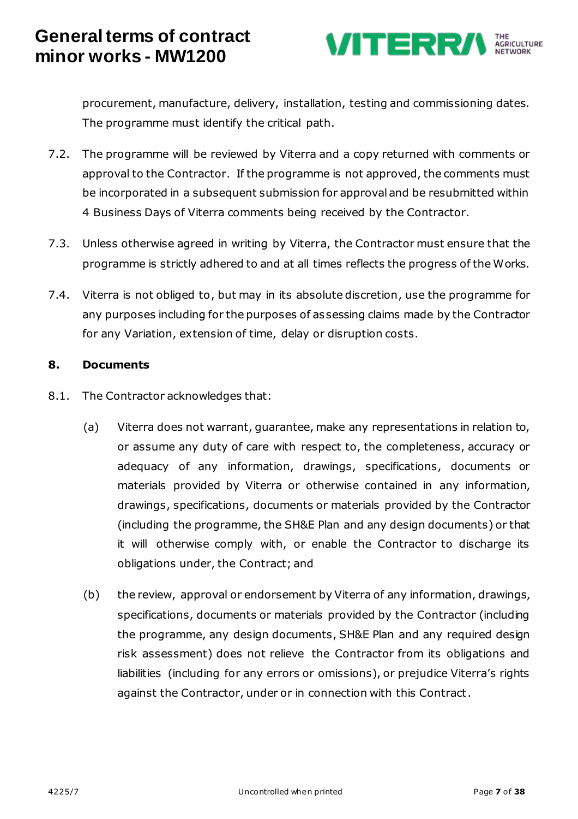

procurement, manufacture, delivery, installation, testing and commissioning dates. The programme must identify the critical path.

- 7.2. The programme will be reviewed by Viterra and a copy returned with comments or approval to the Contractor. If the programme is not approved, the comments must be incorporated in a subsequent submission for approval and be resubmitted within 4 Business Days of Viterra comments being received by the Contractor.
- 7.3. Unless otherwise agreed in writing by Viterra, the Contractor must ensure that the programme is strictly adhered to and at all times reflects the progress of the Works.
- 7.4. Viterra is not obliged to, but may in its absolute discretion, use the programme for any purposes including for the purposes of assessing claims made by the Contractor for any Variation, extension of time, delay or disruption costs.

### **8. Documents**

- 8.1. The Contractor acknowledges that:
	- (a) Viterra does not warrant, guarantee, make any representations in relation to, or assume any duty of care with respect to, the completeness, accuracy or adequacy of any information, drawings, specifications, documents or materials provided by Viterra or otherwise contained in any information, drawings, specifications, documents or materials provided by the Contractor (including the programme, the SH&E Plan and any design documents) or that it will otherwise comply with, or enable the Contractor to discharge its obligations under, the Contract; and
	- (b) the review, approval or endorsement by Viterra of any information, drawings, specifications, documents or materials provided by the Contractor (including the programme, any design documents, SH&E Plan and any required design risk assessment) does not relieve the Contractor from its obligations and liabilities (including for any errors or omissions), or prejudice Viterra's rights against the Contractor, under or in connection with this Contract.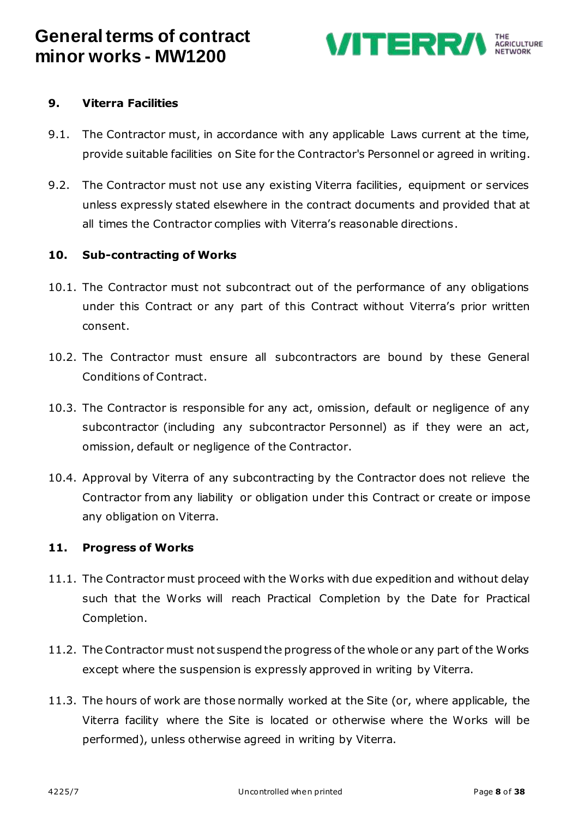

### **9. Viterra Facilities**

- 9.1. The Contractor must, in accordance with any applicable Laws current at the time, provide suitable facilities on Site for the Contractor's Personnel or agreed in writing.
- 9.2. The Contractor must not use any existing Viterra facilities, equipment or services unless expressly stated elsewhere in the contract documents and provided that at all times the Contractor complies with Viterra's reasonable directions.

#### **10. Sub-contracting of Works**

- 10.1. The Contractor must not subcontract out of the performance of any obligations under this Contract or any part of this Contract without Viterra's prior written consent.
- 10.2. The Contractor must ensure all subcontractors are bound by these General Conditions of Contract.
- 10.3. The Contractor is responsible for any act, omission, default or negligence of any subcontractor (including any subcontractor Personnel) as if they were an act, omission, default or negligence of the Contractor.
- 10.4. Approval by Viterra of any subcontracting by the Contractor does not relieve the Contractor from any liability or obligation under this Contract or create or impose any obligation on Viterra.

#### **11. Progress of Works**

- 11.1. The Contractor must proceed with the Works with due expedition and without delay such that the Works will reach Practical Completion by the Date for Practical Completion.
- 11.2. The Contractor must not suspend the progress of the whole or any part of the Works except where the suspension is expressly approved in writing by Viterra.
- 11.3. The hours of work are those normally worked at the Site (or, where applicable, the Viterra facility where the Site is located or otherwise where the Works will be performed), unless otherwise agreed in writing by Viterra.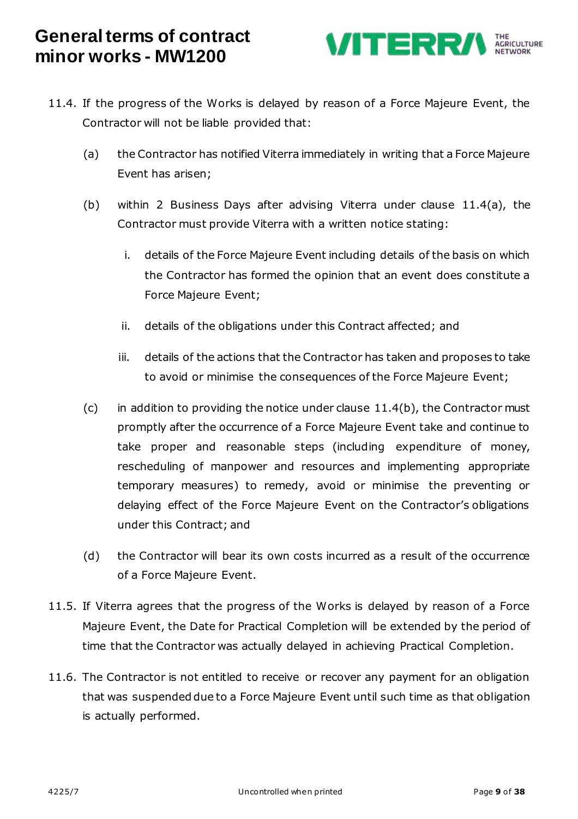

- <span id="page-8-0"></span>11.4. If the progress of the Works is delayed by reason of a Force Majeure Event, the Contractor will not be liable provided that:
	- (a) the Contractor has notified Viterra immediately in writing that a Force Majeure Event has arisen;
	- (b) within 2 Business Days after advising Viterra under clause [11.4\(a\),](#page-8-0) the Contractor must provide Viterra with a written notice stating:
		- i. details of the Force Majeure Event including details of the basis on which the Contractor has formed the opinion that an event does constitute a Force Majeure Event;
		- ii. details of the obligations under this Contract affected; and
		- iii. details of the actions that the Contractor has taken and proposes to take to avoid or minimise the consequences of the Force Majeure Event;
	- (c) in addition to providing the notice under clause  $11.4(b)$ , the Contractor must promptly after the occurrence of a Force Majeure Event take and continue to take proper and reasonable steps (including expenditure of money, rescheduling of manpower and resources and implementing appropriate temporary measures) to remedy, avoid or minimise the preventing or delaying effect of the Force Majeure Event on the Contractor's obligations under this Contract; and
	- (d) the Contractor will bear its own costs incurred as a result of the occurrence of a Force Majeure Event.
- 11.5. If Viterra agrees that the progress of the Works is delayed by reason of a Force Majeure Event, the Date for Practical Completion will be extended by the period of time that the Contractor was actually delayed in achieving Practical Completion.
- 11.6. The Contractor is not entitled to receive or recover any payment for an obligation that was suspended due to a Force Majeure Event until such time as that obligation is actually performed.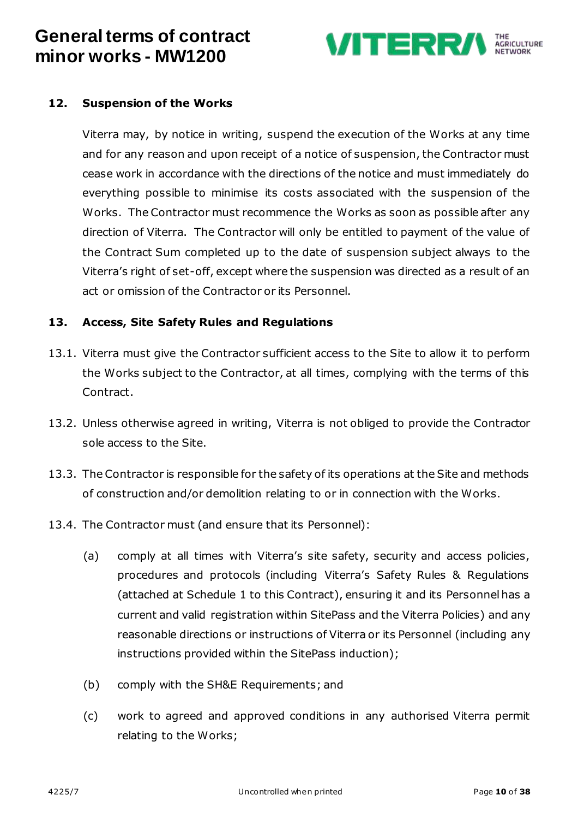

### **12. Suspension of the Works**

Viterra may, by notice in writing, suspend the execution of the Works at any time and for any reason and upon receipt of a notice of suspension, the Contractor must cease work in accordance with the directions of the notice and must immediately do everything possible to minimise its costs associated with the suspension of the Works. The Contractor must recommence the Works as soon as possible after any direction of Viterra. The Contractor will only be entitled to payment of the value of the Contract Sum completed up to the date of suspension subject always to the Viterra's right of set-off, except where the suspension was directed as a result of an act or omission of the Contractor or its Personnel.

#### <span id="page-9-0"></span>**13. Access, Site Safety Rules and Regulations**

- 13.1. Viterra must give the Contractor sufficient access to the Site to allow it to perform the Works subject to the Contractor, at all times, complying with the terms of this Contract.
- 13.2. Unless otherwise agreed in writing, Viterra is not obliged to provide the Contractor sole access to the Site.
- 13.3. The Contractor is responsible for the safety of its operations at the Site and methods of construction and/or demolition relating to or in connection with the Works.
- 13.4. The Contractor must (and ensure that its Personnel):
	- (a) comply at all times with Viterra's site safety, security and access policies, procedures and protocols (including Viterra's Safety Rules & Regulations (attached at Schedule 1 to this Contract), ensuring it and its Personnel has a current and valid registration within SitePass and the Viterra Policies) and any reasonable directions or instructions of Viterra or its Personnel (including any instructions provided within the SitePass induction);
	- (b) comply with the SH&E Requirements; and
	- (c) work to agreed and approved conditions in any authorised Viterra permit relating to the Works;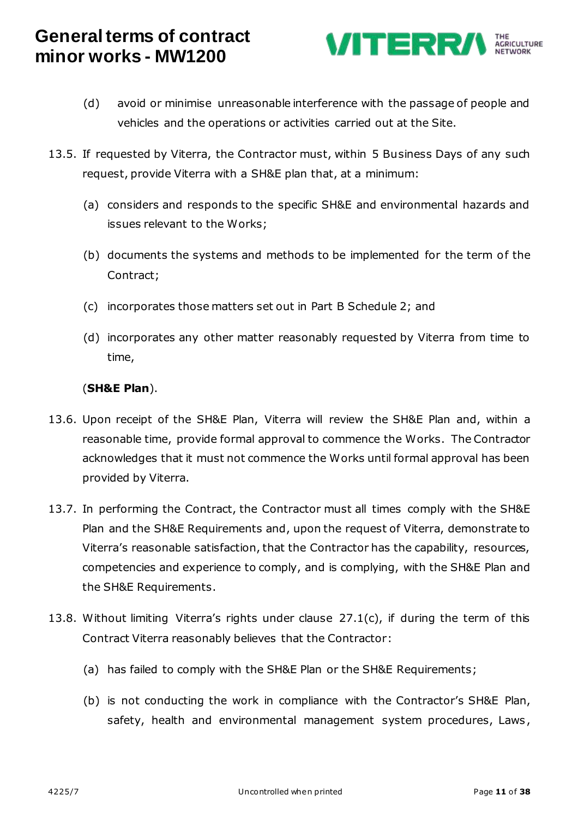

- (d) avoid or minimise unreasonable interference with the passage of people and vehicles and the operations or activities carried out at the Site.
- <span id="page-10-1"></span>13.5. If requested by Viterra, the Contractor must, within 5 Business Days of any such request, provide Viterra with a SH&E plan that, at a minimum:
	- (a) considers and responds to the specific SH&E and environmental hazards and issues relevant to the Works;
	- (b) documents the systems and methods to be implemented for the term of the Contract;
	- (c) incorporates those matters set out in Part B Schedule 2; and
	- (d) incorporates any other matter reasonably requested by Viterra from time to time,

### (**SH&E Plan**).

- 13.6. Upon receipt of the SH&E Plan, Viterra will review the SH&E Plan and, within a reasonable time, provide formal approval to commence the Works. The Contractor acknowledges that it must not commence the Works until formal approval has been provided by Viterra.
- 13.7. In performing the Contract, the Contractor must all times comply with the SH&E Plan and the SH&E Requirements and, upon the request of Viterra, demonstrate to Viterra's reasonable satisfaction, that the Contractor has the capability, resources, competencies and experience to comply, and is complying, with the SH&E Plan and the SH&E Requirements.
- <span id="page-10-0"></span>13.8. Without limiting Viterra's rights under clause [27.1\(c\),](#page-17-0) if during the term of this Contract Viterra reasonably believes that the Contractor:
	- (a) has failed to comply with the SH&E Plan or the SH&E Requirements;
	- (b) is not conducting the work in compliance with the Contractor's SH&E Plan, safety, health and environmental management system procedures, Laws ,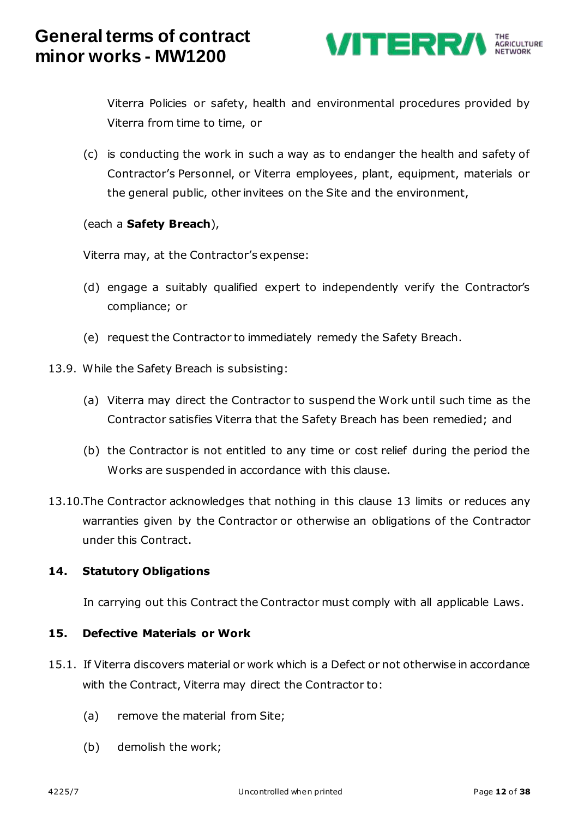

Viterra Policies or safety, health and environmental procedures provided by Viterra from time to time, or

(c) is conducting the work in such a way as to endanger the health and safety of Contractor's Personnel, or Viterra employees, plant, equipment, materials or the general public, other invitees on the Site and the environment,

### (each a **Safety Breach**),

Viterra may, at the Contractor's expense:

- (d) engage a suitably qualified expert to independently verify the Contractor's compliance; or
- (e) request the Contractor to immediately remedy the Safety Breach.
- 13.9. While the Safety Breach is subsisting:
	- (a) Viterra may direct the Contractor to suspend the Work until such time as the Contractor satisfies Viterra that the Safety Breach has been remedied; and
	- (b) the Contractor is not entitled to any time or cost relief during the period the Works are suspended in accordance with this clause.
- 13.10.The Contractor acknowledges that nothing in this clause [13](#page-9-0) limits or reduces any warranties given by the Contractor or otherwise an obligations of the Contractor under this Contract.

#### **14. Statutory Obligations**

In carrying out this Contract the Contractor must comply with all applicable Laws.

#### **15. Defective Materials or Work**

- 15.1. If Viterra discovers material or work which is a Defect or not otherwise in accordance with the Contract, Viterra may direct the Contractor to:
	- (a) remove the material from Site;
	- (b) demolish the work;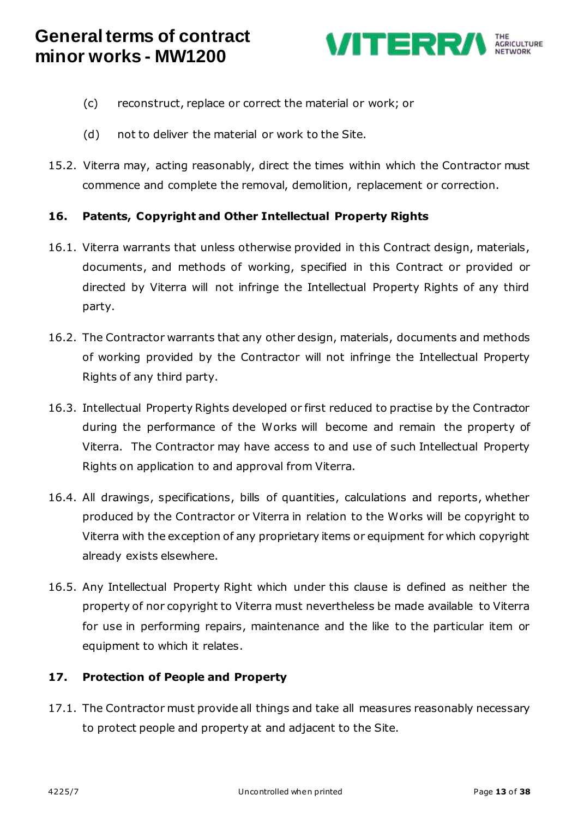

- (c) reconstruct, replace or correct the material or work; or
- (d) not to deliver the material or work to the Site.
- 15.2. Viterra may, acting reasonably, direct the times within which the Contractor must commence and complete the removal, demolition, replacement or correction.

### **16. Patents, Copyright and Other Intellectual Property Rights**

- 16.1. Viterra warrants that unless otherwise provided in this Contract design, materials, documents, and methods of working, specified in this Contract or provided or directed by Viterra will not infringe the Intellectual Property Rights of any third party.
- 16.2. The Contractor warrants that any other design, materials, documents and methods of working provided by the Contractor will not infringe the Intellectual Property Rights of any third party.
- 16.3. Intellectual Property Rights developed or first reduced to practise by the Contractor during the performance of the Works will become and remain the property of Viterra. The Contractor may have access to and use of such Intellectual Property Rights on application to and approval from Viterra.
- 16.4. All drawings, specifications, bills of quantities, calculations and reports, whether produced by the Contractor or Viterra in relation to the Works will be copyright to Viterra with the exception of any proprietary items or equipment for which copyright already exists elsewhere.
- 16.5. Any Intellectual Property Right which under this clause is defined as neither the property of nor copyright to Viterra must nevertheless be made available to Viterra for use in performing repairs, maintenance and the like to the particular item or equipment to which it relates.

### **17. Protection of People and Property**

17.1. The Contractor must provide all things and take all measures reasonably necessary to protect people and property at and adjacent to the Site.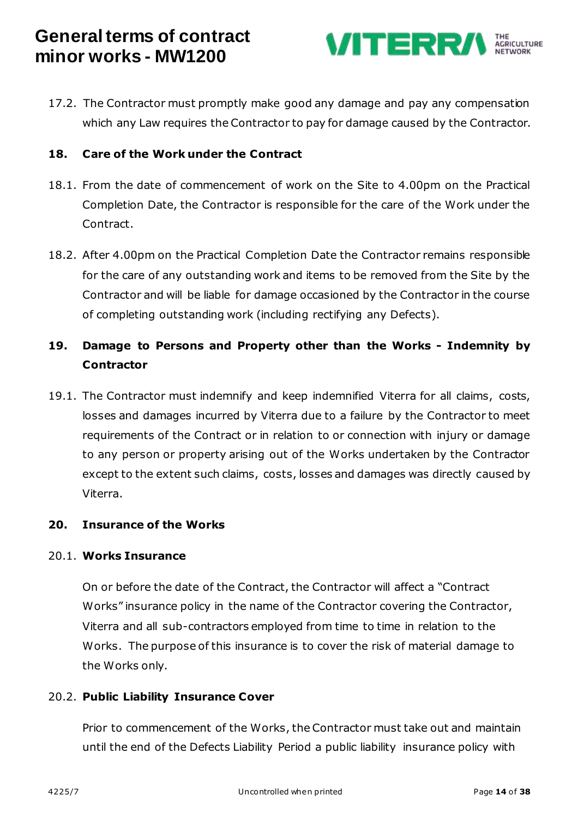

17.2. The Contractor must promptly make good any damage and pay any compensation which any Law requires the Contractor to pay for damage caused by the Contractor.

### **18. Care of the Work under the Contract**

- 18.1. From the date of commencement of work on the Site to 4.00pm on the Practical Completion Date, the Contractor is responsible for the care of the Work under the Contract.
- 18.2. After 4.00pm on the Practical Completion Date the Contractor remains responsible for the care of any outstanding work and items to be removed from the Site by the Contractor and will be liable for damage occasioned by the Contractor in the course of completing outstanding work (including rectifying any Defects).

### **19. Damage to Persons and Property other than the Works - Indemnity by Contractor**

19.1. The Contractor must indemnify and keep indemnified Viterra for all claims, costs, losses and damages incurred by Viterra due to a failure by the Contractor to meet requirements of the Contract or in relation to or connection with injury or damage to any person or property arising out of the Works undertaken by the Contractor except to the extent such claims, costs, losses and damages was directly caused by Viterra.

#### <span id="page-13-0"></span>**20. Insurance of the Works**

#### 20.1. **Works Insurance**

On or before the date of the Contract, the Contractor will affect a "Contract Works" insurance policy in the name of the Contractor covering the Contractor, Viterra and all sub-contractors employed from time to time in relation to the Works. The purpose of this insurance is to cover the risk of material damage to the Works only.

#### 20.2. **Public Liability Insurance Cover**

Prior to commencement of the Works, the Contractor must take out and maintain until the end of the Defects Liability Period a public liability insurance policy with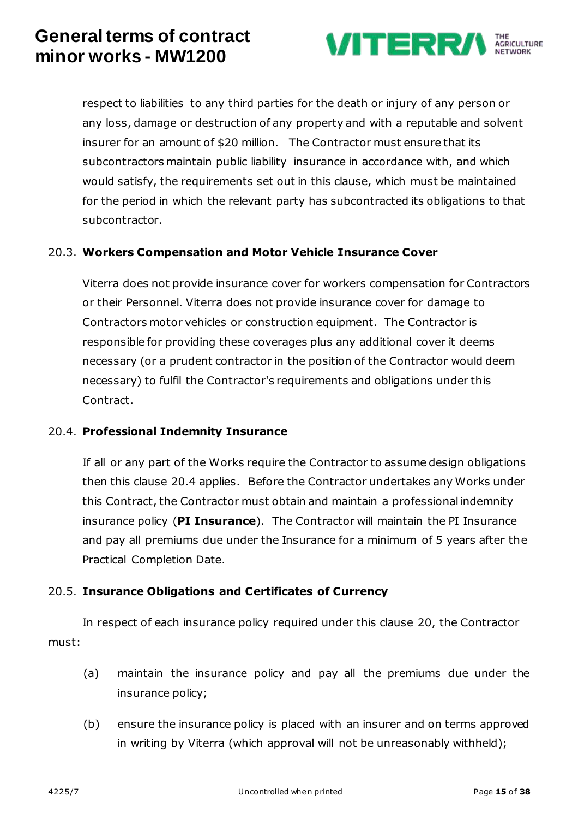

respect to liabilities to any third parties for the death or injury of any person or any loss, damage or destruction of any property and with a reputable and solvent insurer for an amount of \$20 million. The Contractor must ensure that its subcontractors maintain public liability insurance in accordance with, and which would satisfy, the requirements set out in this clause, which must be maintained for the period in which the relevant party has subcontracted its obligations to that subcontractor.

### 20.3. **Workers Compensation and Motor Vehicle Insurance Cover**

Viterra does not provide insurance cover for workers compensation for Contractors or their Personnel. Viterra does not provide insurance cover for damage to Contractors motor vehicles or construction equipment. The Contractor is responsible for providing these coverages plus any additional cover it deems necessary (or a prudent contractor in the position of the Contractor would deem necessary) to fulfil the Contractor's requirements and obligations under this Contract.

#### <span id="page-14-0"></span>20.4. **Professional Indemnity Insurance**

If all or any part of the Works require the Contractor to assume design obligations then this clause [20.4](#page-14-0) applies. Before the Contractor undertakes any Works under this Contract, the Contractor must obtain and maintain a professional indemnity insurance policy (**PI Insurance**). The Contractor will maintain the PI Insurance and pay all premiums due under the Insurance for a minimum of 5 years after the Practical Completion Date.

#### 20.5. **Insurance Obligations and Certificates of Currency**

In respect of each insurance policy required under this clause [20,](#page-13-0) the Contractor must:

- (a) maintain the insurance policy and pay all the premiums due under the insurance policy;
- (b) ensure the insurance policy is placed with an insurer and on terms approved in writing by Viterra (which approval will not be unreasonably withheld);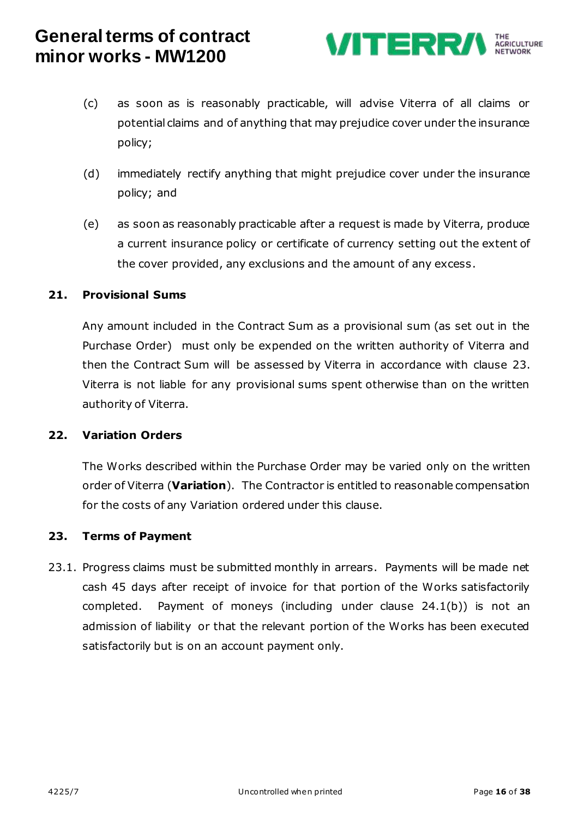

- (c) as soon as is reasonably practicable, will advise Viterra of all claims or potential claims and of anything that may prejudice cover under the insurance policy;
- (d) immediately rectify anything that might prejudice cover under the insurance policy; and
- (e) as soon as reasonably practicable after a request is made by Viterra, produce a current insurance policy or certificate of currency setting out the extent of the cover provided, any exclusions and the amount of any excess.

#### **21. Provisional Sums**

Any amount included in the Contract Sum as a provisional sum (as set out in the Purchase Order) must only be expended on the written authority of Viterra and then the Contract Sum will be assessed by Viterra in accordance with clause [23.](#page-15-0) Viterra is not liable for any provisional sums spent otherwise than on the written authority of Viterra.

#### <span id="page-15-1"></span>**22. Variation Orders**

The Works described within the Purchase Order may be varied only on the written order of Viterra (**Variation**). The Contractor is entitled to reasonable compensation for the costs of any Variation ordered under this clause.

#### <span id="page-15-0"></span>**23. Terms of Payment**

23.1. Progress claims must be submitted monthly in arrears. Payments will be made net cash 45 days after receipt of invoice for that portion of the Works satisfactorily completed. Payment of moneys (including under clause [24.1\(b\)\)](#page-16-0) is not an admission of liability or that the relevant portion of the Works has been executed satisfactorily but is on an account payment only.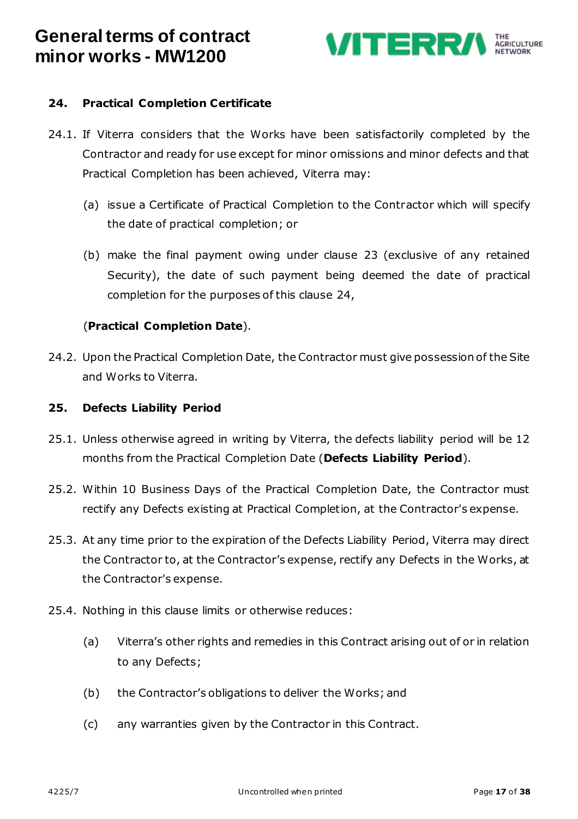

### <span id="page-16-1"></span>**24. Practical Completion Certificate**

- 24.1. If Viterra considers that the Works have been satisfactorily completed by the Contractor and ready for use except for minor omissions and minor defects and that Practical Completion has been achieved, Viterra may:
	- (a) issue a Certificate of Practical Completion to the Contractor which will specify the date of practical completion; or
	- (b) make the final payment owing under clause [23](#page-15-0) (exclusive of any retained Security), the date of such payment being deemed the date of practical completion for the purposes of this clause [24,](#page-16-1)

#### <span id="page-16-0"></span>(**Practical Completion Date**).

24.2. Upon the Practical Completion Date, the Contractor must give possession of the Site and Works to Viterra.

#### **25. Defects Liability Period**

- <span id="page-16-2"></span>25.1. Unless otherwise agreed in writing by Viterra, the defects liability period will be 12 months from the Practical Completion Date (**Defects Liability Period**).
- 25.2. Within 10 Business Days of the Practical Completion Date, the Contractor must rectify any Defects existing at Practical Completion, at the Contractor's expense.
- 25.3. At any time prior to the expiration of the Defects Liability Period, Viterra may direct the Contractor to, at the Contractor's expense, rectify any Defects in the Works, at the Contractor's expense.
- 25.4. Nothing in this clause limits or otherwise reduces:
	- (a) Viterra's other rights and remedies in this Contract arising out of or in relation to any Defects;
	- (b) the Contractor's obligations to deliver the Works; and
	- (c) any warranties given by the Contractor in this Contract.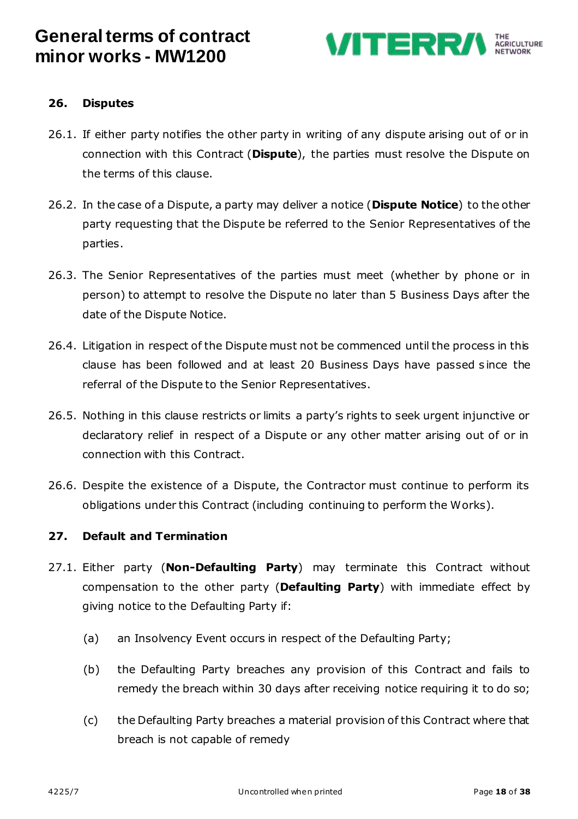

#### **26. Disputes**

- <span id="page-17-2"></span>26.1. If either party notifies the other party in writing of any dispute arising out of or in connection with this Contract (**Dispute**), the parties must resolve the Dispute on the terms of this clause.
- <span id="page-17-3"></span>26.2. In the case of a Dispute, a party may deliver a notice (**Dispute Notice**) to the other party requesting that the Dispute be referred to the Senior Representatives of the parties.
- 26.3. The Senior Representatives of the parties must meet (whether by phone or in person) to attempt to resolve the Dispute no later than 5 Business Days after the date of the Dispute Notice.
- 26.4. Litigation in respect of the Dispute must not be commenced until the process in this clause has been followed and at least 20 Business Days have passed s ince the referral of the Dispute to the Senior Representatives.
- 26.5. Nothing in this clause restricts or limits a party's rights to seek urgent injunctive or declaratory relief in respect of a Dispute or any other matter arising out of or in connection with this Contract.
- 26.6. Despite the existence of a Dispute, the Contractor must continue to perform its obligations under this Contract (including continuing to perform the Works).

#### **27. Default and Termination**

- <span id="page-17-1"></span><span id="page-17-0"></span>27.1. Either party (**Non-Defaulting Party**) may terminate this Contract without compensation to the other party (**Defaulting Party**) with immediate effect by giving notice to the Defaulting Party if:
	- (a) an Insolvency Event occurs in respect of the Defaulting Party;
	- (b) the Defaulting Party breaches any provision of this Contract and fails to remedy the breach within 30 days after receiving notice requiring it to do so;
	- (c) the Defaulting Party breaches a material provision of this Contract where that breach is not capable of remedy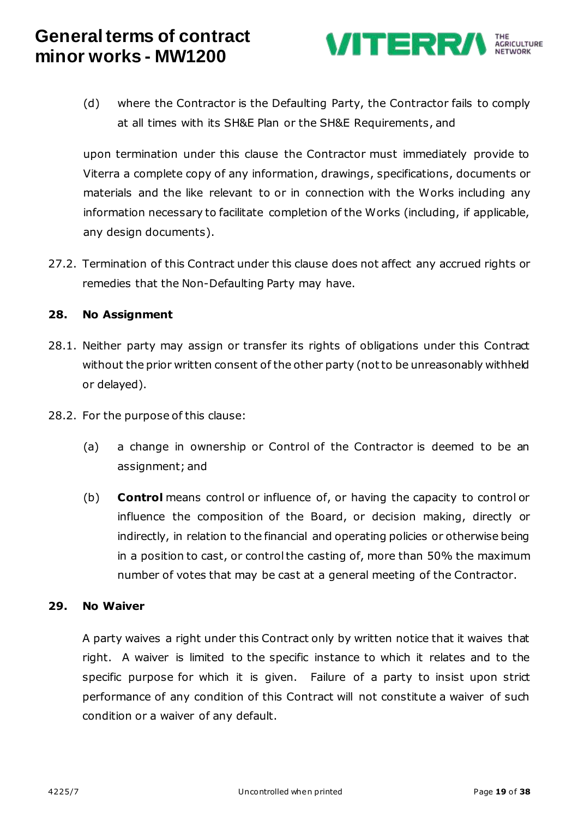

(d) where the Contractor is the Defaulting Party, the Contractor fails to comply at all times with its SH&E Plan or the SH&E Requirements, and

upon termination under this clause the Contractor must immediately provide to Viterra a complete copy of any information, drawings, specifications, documents or materials and the like relevant to or in connection with the Works including any information necessary to facilitate completion of the Works (including, if applicable, any design documents).

27.2. Termination of this Contract under this clause does not affect any accrued rights or remedies that the Non-Defaulting Party may have.

### **28. No Assignment**

- 28.1. Neither party may assign or transfer its rights of obligations under this Contract without the prior written consent of the other party (not to be unreasonably withheld or delayed).
- 28.2. For the purpose of this clause:
	- (a) a change in ownership or Control of the Contractor is deemed to be an assignment; and
	- (b) **Control** means control or influence of, or having the capacity to control or influence the composition of the Board, or decision making, directly or indirectly, in relation to the financial and operating policies or otherwise being in a position to cast, or control the casting of, more than 50% the maximum number of votes that may be cast at a general meeting of the Contractor.

#### **29. No Waiver**

A party waives a right under this Contract only by written notice that it waives that right. A waiver is limited to the specific instance to which it relates and to the specific purpose for which it is given. Failure of a party to insist upon strict performance of any condition of this Contract will not constitute a waiver of such condition or a waiver of any default.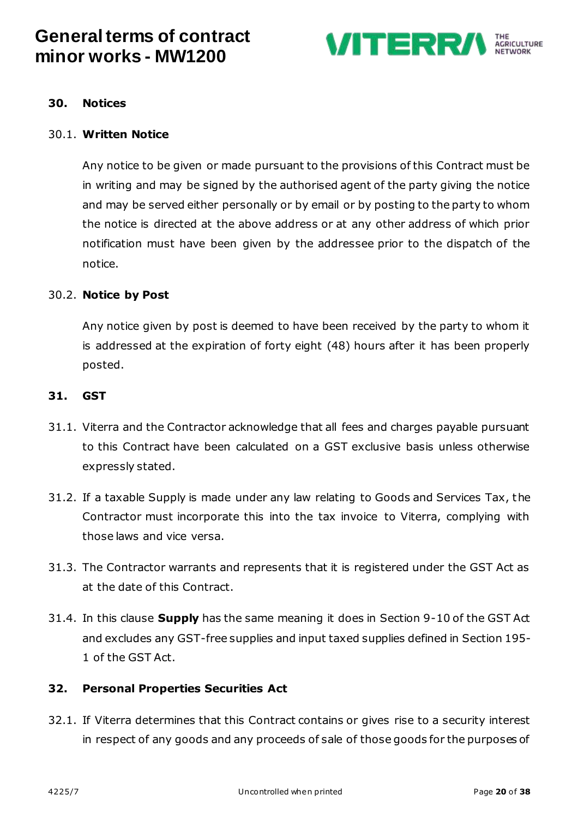

#### **30. Notices**

#### 30.1. **Written Notice**

Any notice to be given or made pursuant to the provisions of this Contract must be in writing and may be signed by the authorised agent of the party giving the notice and may be served either personally or by email or by posting to the party to whom the notice is directed at the above address or at any other address of which prior notification must have been given by the addressee prior to the dispatch of the notice.

#### 30.2. **Notice by Post**

Any notice given by post is deemed to have been received by the party to whom it is addressed at the expiration of forty eight (48) hours after it has been properly posted.

#### **31. GST**

- 31.1. Viterra and the Contractor acknowledge that all fees and charges payable pursuant to this Contract have been calculated on a GST exclusive basis unless otherwise expressly stated.
- 31.2. If a taxable Supply is made under any law relating to Goods and Services Tax, the Contractor must incorporate this into the tax invoice to Viterra, complying with those laws and vice versa.
- 31.3. The Contractor warrants and represents that it is registered under the GST Act as at the date of this Contract.
- 31.4. In this clause **Supply** has the same meaning it does in Section 9-10 of the GST Act and excludes any GST-free supplies and input taxed supplies defined in Section 195- 1 of the GST Act.

#### **32. Personal Properties Securities Act**

32.1. If Viterra determines that this Contract contains or gives rise to a security interest in respect of any goods and any proceeds of sale of those goods for the purposes of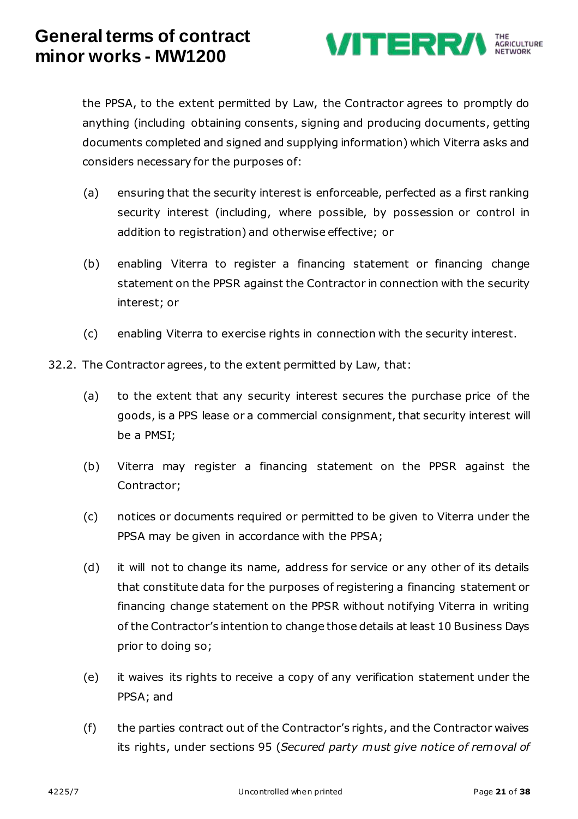

the PPSA, to the extent permitted by Law, the Contractor agrees to promptly do anything (including obtaining consents, signing and producing documents, getting documents completed and signed and supplying information) which Viterra asks and considers necessary for the purposes of:

- (a) ensuring that the security interest is enforceable, perfected as a first ranking security interest (including, where possible, by possession or control in addition to registration) and otherwise effective; or
- (b) enabling Viterra to register a financing statement or financing change statement on the PPSR against the Contractor in connection with the security interest; or
- (c) enabling Viterra to exercise rights in connection with the security interest.
- 32.2. The Contractor agrees, to the extent permitted by Law, that:
	- (a) to the extent that any security interest secures the purchase price of the goods, is a PPS lease or a commercial consignment, that security interest will be a PMSI;
	- (b) Viterra may register a financing statement on the PPSR against the Contractor;
	- (c) notices or documents required or permitted to be given to Viterra under the PPSA may be given in accordance with the PPSA;
	- (d) it will not to change its name, address for service or any other of its details that constitute data for the purposes of registering a financing statement or financing change statement on the PPSR without notifying Viterra in writing of the Contractor's intention to change those details at least 10 Business Days prior to doing so;
	- (e) it waives its rights to receive a copy of any verification statement under the PPSA; and
	- (f) the parties contract out of the Contractor's rights, and the Contractor waives its rights, under sections 95 (*Secured party must give notice of removal of*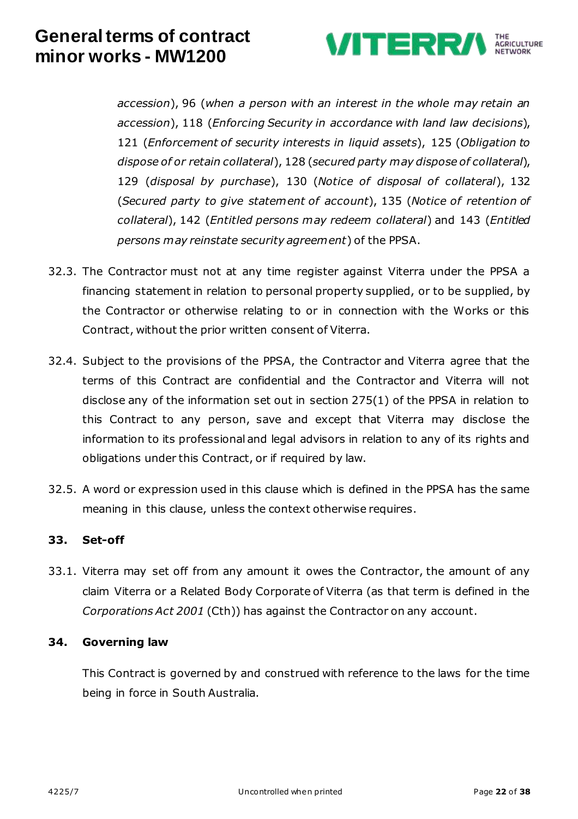

*accession*), 96 (*when a person with an interest in the whole may retain an accession*), 118 (*Enforcing Security in accordance with land law decisions*), 121 (*Enforcement of security interests in liquid assets*), 125 (*Obligation to dispose of or retain collateral*), 128 (*secured party may dispose of collateral*), 129 (*disposal by purchase*), 130 (*Notice of disposal of collateral*), 132 (*Secured party to give statement of account*), 135 (*Notice of retention of collateral*), 142 (*Entitled persons may redeem collateral*) and 143 (*Entitled persons may reinstate security agreement*) of the PPSA.

- 32.3. The Contractor must not at any time register against Viterra under the PPSA a financing statement in relation to personal property supplied, or to be supplied, by the Contractor or otherwise relating to or in connection with the Works or this Contract, without the prior written consent of Viterra.
- 32.4. Subject to the provisions of the PPSA, the Contractor and Viterra agree that the terms of this Contract are confidential and the Contractor and Viterra will not disclose any of the information set out in section 275(1) of the PPSA in relation to this Contract to any person, save and except that Viterra may disclose the information to its professional and legal advisors in relation to any of its rights and obligations under this Contract, or if required by law.
- 32.5. A word or expression used in this clause which is defined in the PPSA has the same meaning in this clause, unless the context otherwise requires.

### **33. Set-off**

33.1. Viterra may set off from any amount it owes the Contractor, the amount of any claim Viterra or a Related Body Corporate of Viterra (as that term is defined in the *Corporations Act 2001* (Cth)) has against the Contractor on any account.

#### **34. Governing law**

This Contract is governed by and construed with reference to the laws for the time being in force in South Australia.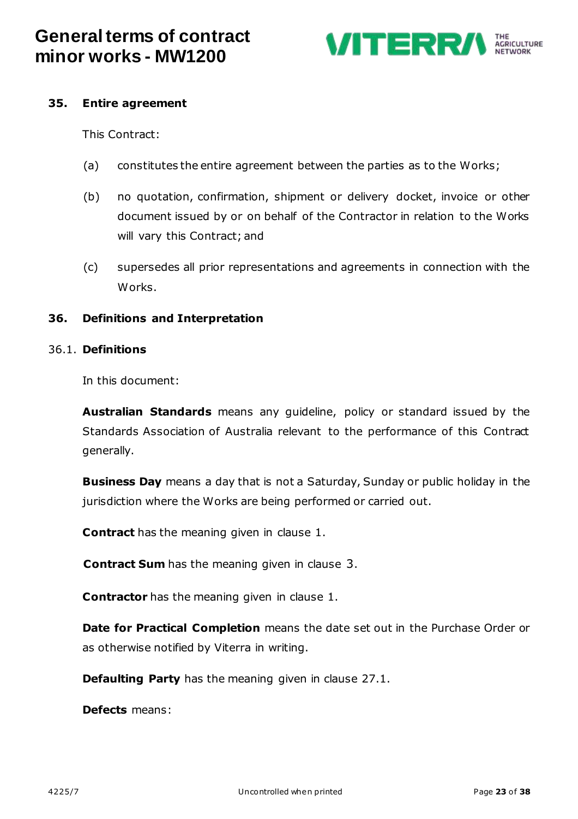

#### **35. Entire agreement**

This Contract:

- (a) constitutes the entire agreement between the parties as to the Works;
- (b) no quotation, confirmation, shipment or delivery docket, invoice or other document issued by or on behalf of the Contractor in relation to the Works will vary this Contract; and
- (c) supersedes all prior representations and agreements in connection with the Works.

#### **36. Definitions and Interpretation**

#### 36.1. **Definitions**

In this document:

**Australian Standards** means any guideline, policy or standard issued by the Standards Association of Australia relevant to the performance of this Contract generally.

**Business Day** means a day that is not a Saturday, Sunday or public holiday in the jurisdiction where the Works are being performed or carried out.

**Contract** has the meaning given in clause [1.](#page-0-0)

**Contract Sum** has the meaning given in clause [3](#page-0-1).

**Contractor** has the meaning given in clause [1.](#page-0-0)

**Date for Practical Completion** means the date set out in the Purchase Order or as otherwise notified by Viterra in writing.

**Defaulting Party** has the meaning given in clause [27.1.](#page-17-1)

**Defects** means: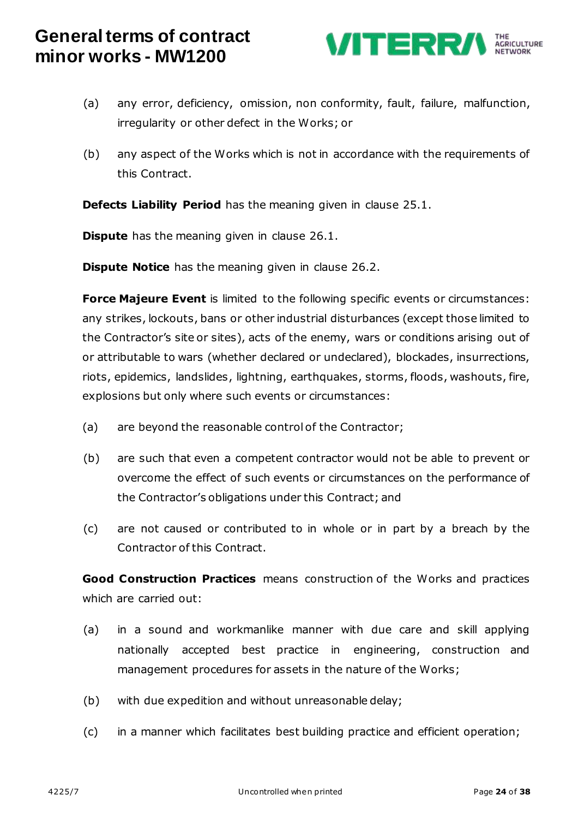

- (a) any error, deficiency, omission, non conformity, fault, failure, malfunction, irregularity or other defect in the Works; or
- (b) any aspect of the Works which is not in accordance with the requirements of this Contract.

**Defects Liability Period** has the meaning given in clause [25.1.](#page-16-2)

**Dispute** has the meaning given in clause [26.1.](#page-17-2)

**Dispute Notice** has the meaning given in clause [26.2.](#page-17-3)

**Force Majeure Event** is limited to the following specific events or circumstances: any strikes, lockouts, bans or other industrial disturbances (except those limited to the Contractor's site or sites), acts of the enemy, wars or conditions arising out of or attributable to wars (whether declared or undeclared), blockades, insurrections, riots, epidemics, landslides, lightning, earthquakes, storms, floods, washouts, fire, explosions but only where such events or circumstances:

- (a) are beyond the reasonable control of the Contractor;
- (b) are such that even a competent contractor would not be able to prevent or overcome the effect of such events or circumstances on the performance of the Contractor's obligations under this Contract; and
- (c) are not caused or contributed to in whole or in part by a breach by the Contractor of this Contract.

**Good Construction Practices** means construction of the Works and practices which are carried out:

- (a) in a sound and workmanlike manner with due care and skill applying nationally accepted best practice in engineering, construction and management procedures for assets in the nature of the Works;
- (b) with due expedition and without unreasonable delay;
- (c) in a manner which facilitates best building practice and efficient operation;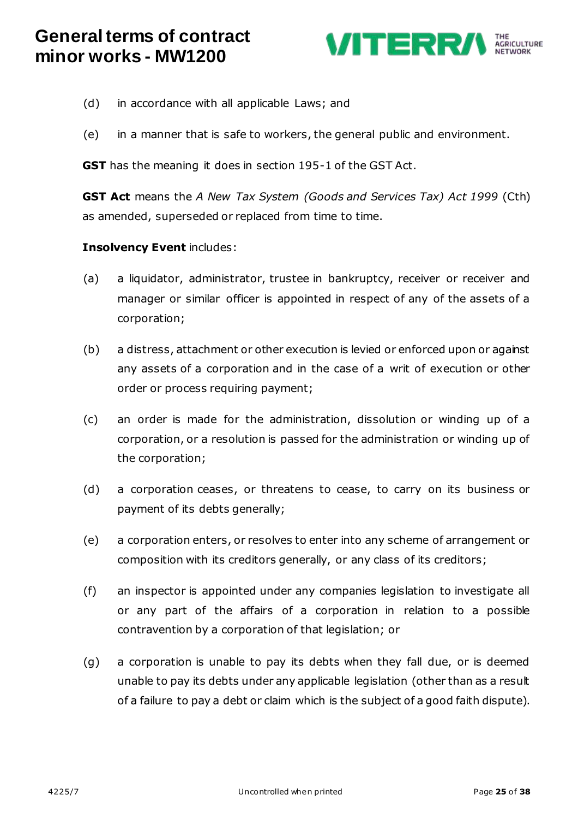

- (d) in accordance with all applicable Laws; and
- (e) in a manner that is safe to workers, the general public and environment.

**GST** has the meaning it does in section 195-1 of the GST Act.

**GST Act** means the *A New Tax System (Goods and Services Tax) Act 1999* (Cth) as amended, superseded or replaced from time to time.

#### **Insolvency Event** includes:

- (a) a liquidator, administrator, trustee in bankruptcy, receiver or receiver and manager or similar officer is appointed in respect of any of the assets of a corporation;
- (b) a distress, attachment or other execution is levied or enforced upon or against any assets of a corporation and in the case of a writ of execution or other order or process requiring payment;
- (c) an order is made for the administration, dissolution or winding up of a corporation, or a resolution is passed for the administration or winding up of the corporation;
- (d) a corporation ceases, or threatens to cease, to carry on its business or payment of its debts generally;
- (e) a corporation enters, or resolves to enter into any scheme of arrangement or composition with its creditors generally, or any class of its creditors;
- (f) an inspector is appointed under any companies legislation to investigate all or any part of the affairs of a corporation in relation to a possible contravention by a corporation of that legislation; or
- (g) a corporation is unable to pay its debts when they fall due, or is deemed unable to pay its debts under any applicable legislation (other than as a result of a failure to pay a debt or claim which is the subject of a good faith dispute).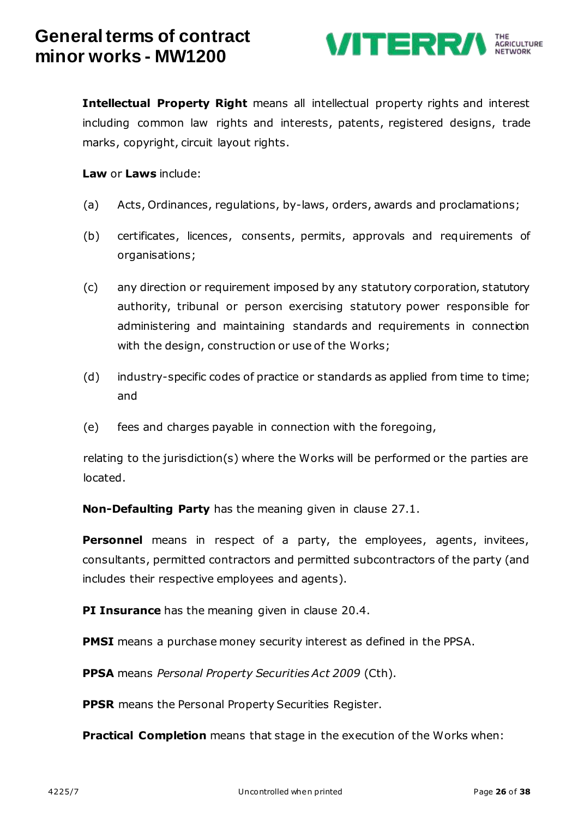

**Intellectual Property Right** means all intellectual property rights and interest including common law rights and interests, patents, registered designs, trade marks, copyright, circuit layout rights.

**Law** or **Laws** include:

- (a) Acts, Ordinances, regulations, by-laws, orders, awards and proclamations;
- (b) certificates, licences, consents, permits, approvals and requirements of organisations;
- (c) any direction or requirement imposed by any statutory corporation, statutory authority, tribunal or person exercising statutory power responsible for administering and maintaining standards and requirements in connection with the design, construction or use of the Works;
- (d) industry-specific codes of practice or standards as applied from time to time; and
- (e) fees and charges payable in connection with the foregoing,

relating to the jurisdiction(s) where the Works will be performed or the parties are located.

**Non-Defaulting Party** has the meaning given in clause [27.1.](#page-17-1)

**Personnel** means in respect of a party, the employees, agents, invitees, consultants, permitted contractors and permitted subcontractors of the party (and includes their respective employees and agents).

**PI Insurance** has the meaning given in clause [20.4.](#page-14-0)

**PMSI** means a purchase money security interest as defined in the PPSA.

**PPSA** means *Personal Property Securities Act 2009* (Cth).

**PPSR** means the Personal Property Securities Register.

**Practical Completion** means that stage in the execution of the Works when: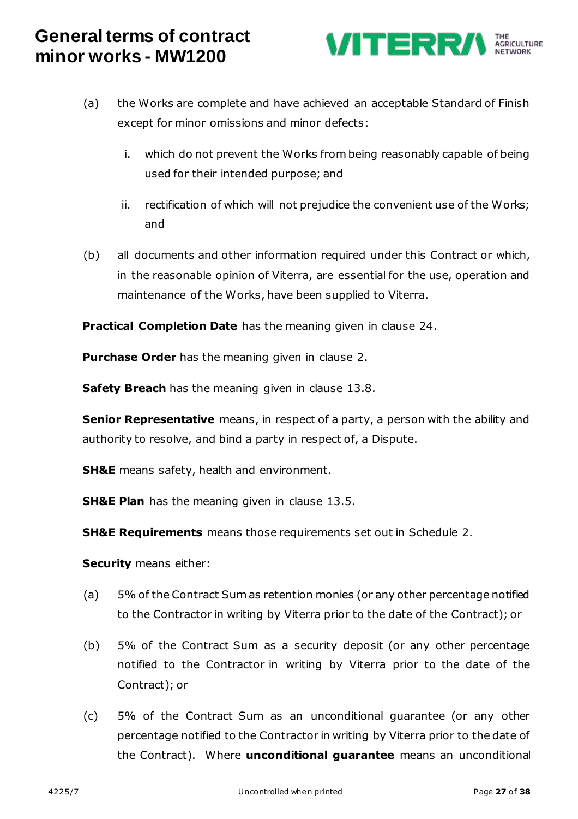

- (a) the Works are complete and have achieved an acceptable Standard of Finish except for minor omissions and minor defects:
	- i. which do not prevent the Works from being reasonably capable of being used for their intended purpose; and
	- ii. rectification of which will not prejudice the convenient use of the Works; and
- (b) all documents and other information required under this Contract or which, in the reasonable opinion of Viterra, are essential for the use, operation and maintenance of the Works, have been supplied to Viterra.

**Practical Completion Date** has the meaning given in clause [24.](#page-16-1)

**Purchase Order** has the meaning given in clause [2.](#page-0-2)

**Safety Breach** has the meaning given in clause [13.8.](#page-10-0)

**Senior Representative** means, in respect of a party, a person with the ability and authority to resolve, and bind a party in respect of, a Dispute.

**SH&E** means safety, health and environment.

**SH&E Plan** has the meaning given in clause [13.5.](#page-10-1)

**SH&E Requirements** means those requirements set out in Schedule 2.

**Security** means either:

- (a) 5% of the Contract Sum as retention monies (or any other percentage notified to the Contractor in writing by Viterra prior to the date of the Contract); or
- (b) 5% of the Contract Sum as a security deposit (or any other percentage notified to the Contractor in writing by Viterra prior to the date of the Contract); or
- (c) 5% of the Contract Sum as an unconditional guarantee (or any other percentage notified to the Contractor in writing by Viterra prior to the date of the Contract). Where **unconditional guarantee** means an unconditional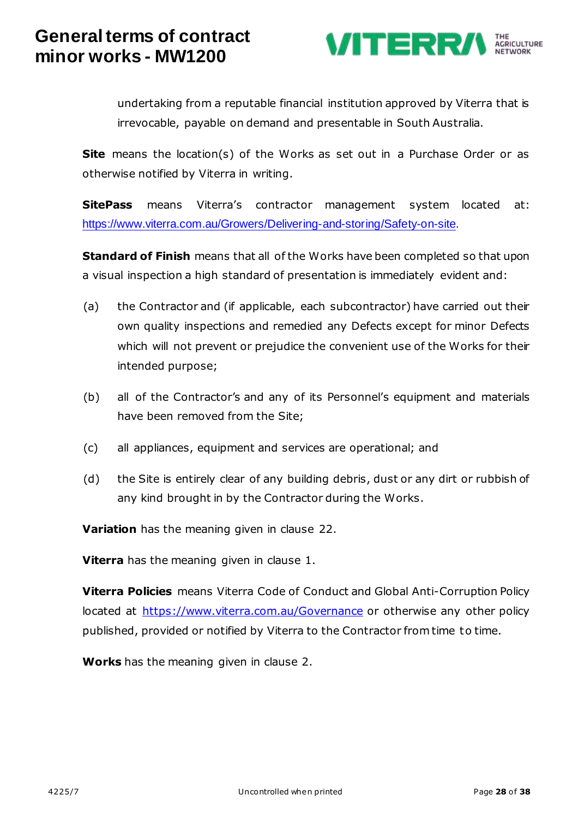

undertaking from a reputable financial institution approved by Viterra that is irrevocable, payable on demand and presentable in South Australia.

**Site** means the location(s) of the Works as set out in a Purchase Order or as otherwise notified by Viterra in writing.

**SitePass** means Viterra's contractor management system located at: [https://www.viterra.com.au/Growers/Delivering-and-storing/Safety-on-site.](https://www.viterra.com.au/Growers/Delivering-and-storing/Safety-on-site) 

**Standard of Finish** means that all of the Works have been completed so that upon a visual inspection a high standard of presentation is immediately evident and:

- (a) the Contractor and (if applicable, each subcontractor) have carried out their own quality inspections and remedied any Defects except for minor Defects which will not prevent or prejudice the convenient use of the Works for their intended purpose;
- (b) all of the Contractor's and any of its Personnel's equipment and materials have been removed from the Site;
- (c) all appliances, equipment and services are operational; and
- (d) the Site is entirely clear of any building debris, dust or any dirt or rubbish of any kind brought in by the Contractor during the Works.

**Variation** has the meaning given in clause [22.](#page-15-1)

**Viterra** has the meaning given in clause [1.](#page-0-0)

**Viterra Policies** means Viterra Code of Conduct and Global Anti-Corruption Policy located at<https://www.viterra.com.au/Governance> or otherwise any other policy published, provided or notified by Viterra to the Contractor from time to time.

**Works** has the meaning given in clause [2.](#page-0-2)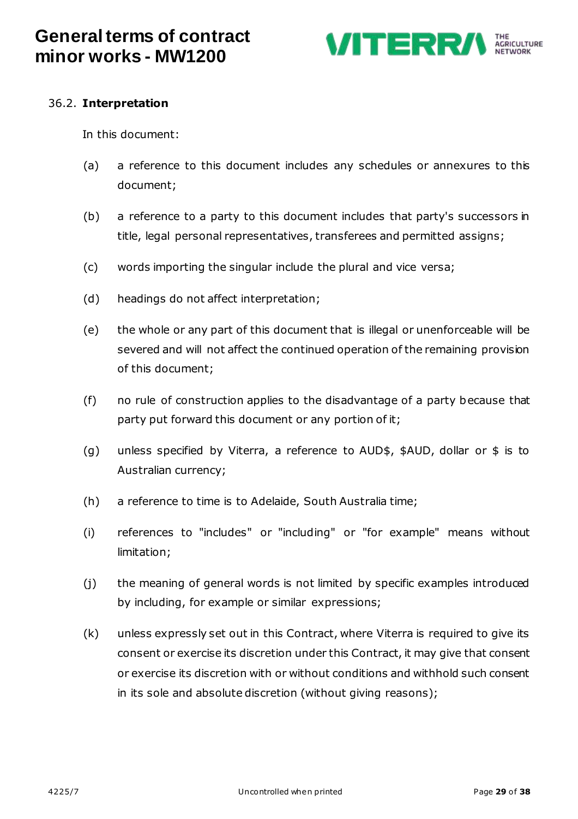

### 36.2. **Interpretation**

In this document:

- (a) a reference to this document includes any schedules or annexures to this document;
- (b) a reference to a party to this document includes that party's successors in title, legal personal representatives, transferees and permitted assigns;
- (c) words importing the singular include the plural and vice versa;
- (d) headings do not affect interpretation;
- (e) the whole or any part of this document that is illegal or unenforceable will be severed and will not affect the continued operation of the remaining provision of this document;
- (f) no rule of construction applies to the disadvantage of a party because that party put forward this document or any portion of it;
- (g) unless specified by Viterra, a reference to AUD\$, \$AUD, dollar or \$ is to Australian currency;
- (h) a reference to time is to Adelaide, South Australia time;
- (i) references to "includes" or "including" or "for example" means without limitation;
- (j) the meaning of general words is not limited by specific examples introduced by including, for example or similar expressions;
- (k) unless expressly set out in this Contract, where Viterra is required to give its consent or exercise its discretion under this Contract, it may give that consent or exercise its discretion with or without conditions and withhold such consent in its sole and absolute discretion (without giving reasons);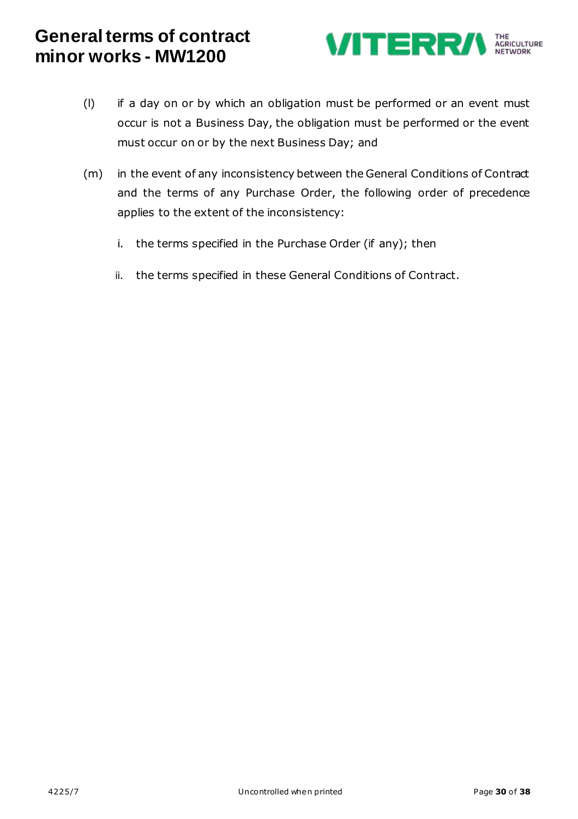

- (l) if a day on or by which an obligation must be performed or an event must occur is not a Business Day, the obligation must be performed or the event must occur on or by the next Business Day; and
- (m) in the event of any inconsistency between the General Conditions of Contract and the terms of any Purchase Order, the following order of precedence applies to the extent of the inconsistency:
	- i. the terms specified in the Purchase Order (if any); then
	- ii. the terms specified in these General Conditions of Contract.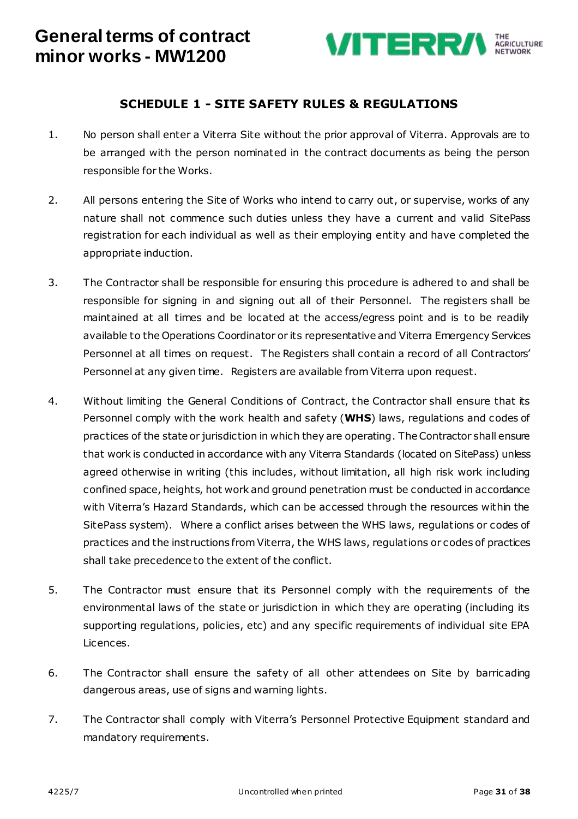

### **SCHEDULE 1 - SITE SAFETY RULES & REGULATIONS**

- 1. No person shall enter a Viterra Site without the prior approval of Viterra. Approvals are to be arranged with the person nominated in the contract documents as being the person responsible for the Works.
- 2. All persons entering the Site of Works who intend to carry out, or supervise, works of any nature shall not commence such duties unless they have a current and valid SitePass registration for each individual as well as their employing entity and have completed the appropriate induction.
- 3. The Contractor shall be responsible for ensuring this procedure is adhered to and shall be responsible for signing in and signing out all of their Personnel. The registers shall be maintained at all times and be located at the access/egress point and is to be readily available to the Operations Coordinator or its representative and Viterra Emergency Services Personnel at all times on request. The Registers shall contain a record of all Contractors' Personnel at any given time. Registers are available from Viterra upon request.
- 4. Without limiting the General Conditions of Contract, the Contractor shall ensure that its Personnel comply with the work health and safety (**WHS**) laws, regulations and codes of practices of the state or jurisdiction in which they are operating. The Contractor shall ensure that work is conducted in accordance with any Viterra Standards (located on SitePass) unless agreed otherwise in writing (this includes, without limitation, all high risk work including confined space, heights, hot work and ground penetration must be conducted in accordance with Viterra's Hazard Standards, which can be accessed through the resources within the SitePass system). Where a conflict arises between the WHS laws, regulations or codes of practices and the instructions from Viterra, the WHS laws, regulations or codes of practices shall take precedence to the extent of the conflict.
- 5. The Contractor must ensure that its Personnel comply with the requirements of the environmental laws of the state or jurisdiction in which they are operating (including its supporting regulations, policies, etc) and any specific requirements of individual site EPA Licences.
- 6. The Contractor shall ensure the safety of all other attendees on Site by barricading dangerous areas, use of signs and warning lights.
- 7. The Contractor shall comply with Viterra's Personnel Protective Equipment standard and mandatory requirements.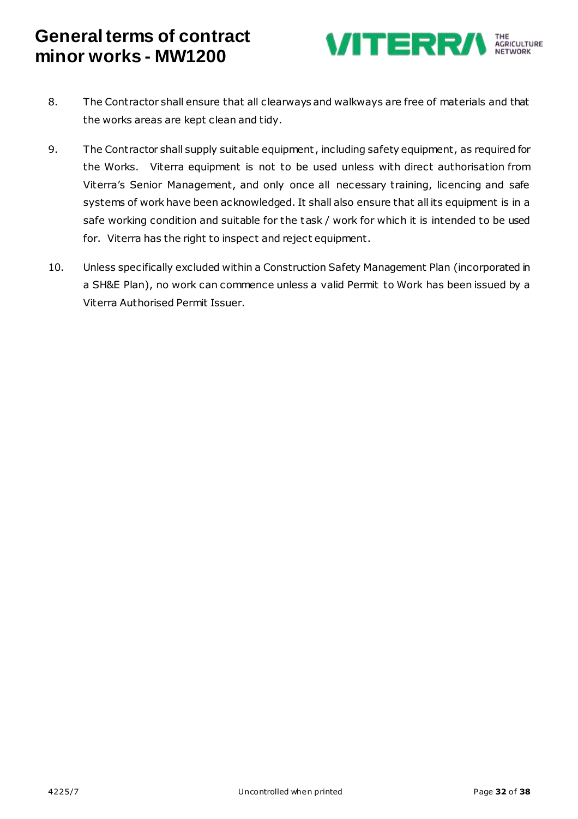

- 8. The Contractor shall ensure that all clearways and walkways are free of materials and that the works areas are kept clean and tidy.
- 9. The Contractor shall supply suitable equipment, including safety equipment, as required for the Works. Viterra equipment is not to be used unless with direct authorisation from Viterra's Senior Management, and only once all necessary training, licencing and safe systems of work have been acknowledged. It shall also ensure that all its equipment is in a safe working condition and suitable for the task / work for which it is intended to be used for. Viterra has the right to inspect and reject equipment.
- 10. Unless specifically excluded within a Construction Safety Management Plan (incorporated in a SH&E Plan), no work can commence unless a valid Permit to Work has been issued by a Viterra Authorised Permit Issuer.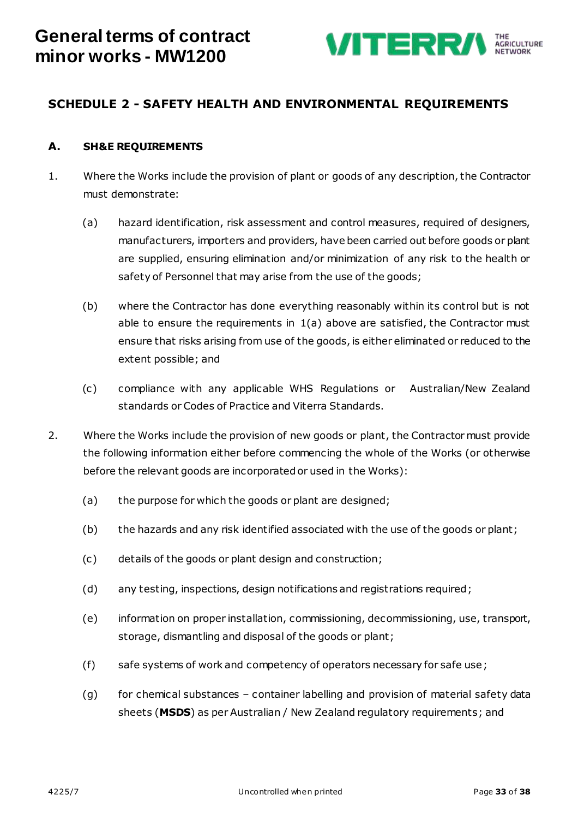

### **SCHEDULE 2 - SAFETY HEALTH AND ENVIRONMENTAL REQUIREMENTS**

#### **A. SH&E REQUIREMENTS**

- <span id="page-32-0"></span>1. Where the Works include the provision of plant or goods of any description, the Contractor must demonstrate:
	- (a) hazard identification, risk assessment and control measures, required of designers, manufacturers, importers and providers, have been carried out before goods or plant are supplied, ensuring elimination and/or minimization of any risk to the health or safety of Personnel that may arise from the use of the goods;
	- (b) where the Contractor has done everything reasonably within its control but is not able to ensure the requirements in [1\(a\)](#page-32-0) above are satisfied, the Contractor must ensure that risks arising from use of the goods, is either eliminated or reduced to the extent possible; and
	- (c) compliance with any applicable WHS Regulations or Australian/New Zealand standards or Codes of Practice and Viterra Standards.
- 2. Where the Works include the provision of new goods or plant, the Contractor must provide the following information either before commencing the whole of the Works (or otherwise before the relevant goods are incorporated or used in the Works):
	- (a) the purpose for which the goods or plant are designed;
	- (b) the hazards and any risk identified associated with the use of the goods or plant;
	- (c) details of the goods or plant design and construction;
	- (d) any testing, inspections, design notifications and registrations required;
	- (e) information on proper installation, commissioning, decommissioning, use, transport, storage, dismantling and disposal of the goods or plant;
	- (f) safe systems of work and competency of operators necessary for safe use;
	- (g) for chemical substances container labelling and provision of material safety data sheets (**MSDS**) as per Australian / New Zealand regulatory requirements; and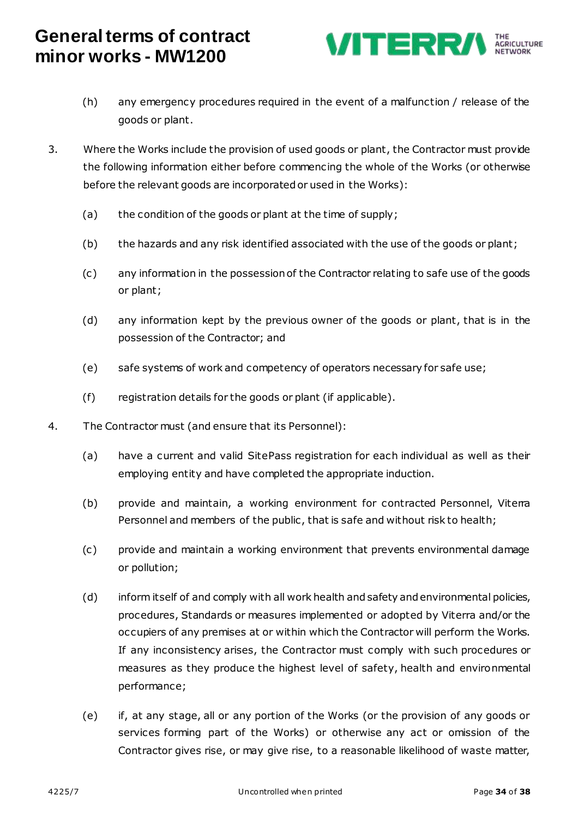

- (h) any emergency procedures required in the event of a malfunction / release of the goods or plant.
- 3. Where the Works include the provision of used goods or plant, the Contractor must provide the following information either before commencing the whole of the Works (or otherwise before the relevant goods are incorporated or used in the Works):
	- (a) the condition of the goods or plant at the time of supply;
	- (b) the hazards and any risk identified associated with the use of the goods or plant;
	- (c) any information in the possession of the Contractor relating to safe use of the goods or plant;
	- (d) any information kept by the previous owner of the goods or plant, that is in the possession of the Contractor; and
	- (e) safe systems of work and competency of operators necessary for safe use;
	- (f) registration details for the goods or plant (if applicable).
- 4. The Contractor must (and ensure that its Personnel):
	- (a) have a current and valid SitePass registration for each individual as well as their employing entity and have completed the appropriate induction.
	- (b) provide and maintain, a working environment for contracted Personnel, Viterra Personnel and members of the public, that is safe and without risk to health;
	- (c) provide and maintain a working environment that prevents environmental damage or pollution;
	- (d) inform itself of and comply with all work health and safety and environmental policies, procedures, Standards or measures implemented or adopted by Viterra and/or the occupiers of any premises at or within which the Contractor will perform the Works. If any inconsistency arises, the Contractor must comply with such procedures or measures as they produce the highest level of safety, health and environmental performance;
	- (e) if, at any stage, all or any portion of the Works (or the provision of any goods or services forming part of the Works) or otherwise any act or omission of the Contractor gives rise, or may give rise, to a reasonable likelihood of waste matter,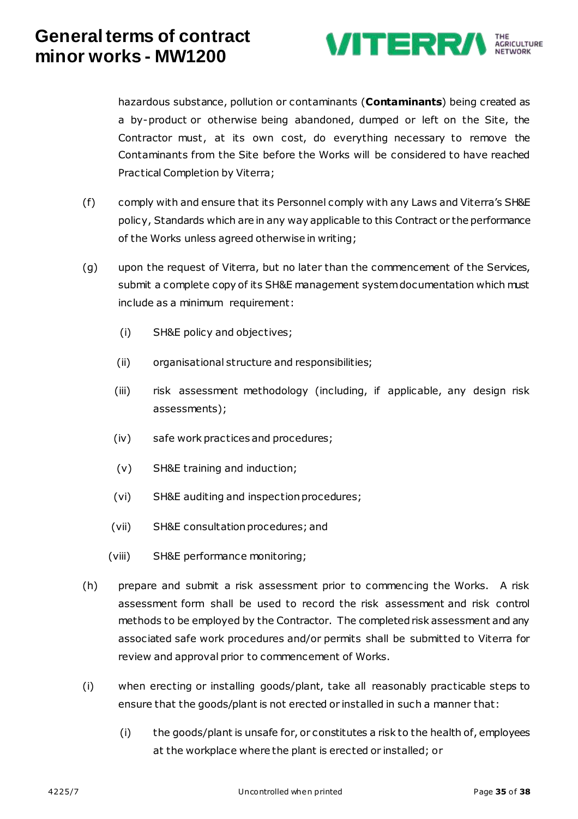

hazardous substance, pollution or contaminants (**Contaminants**) being created as a by-product or otherwise being abandoned, dumped or left on the Site, the Contractor must, at its own cost, do everything necessary to remove the Contaminants from the Site before the Works will be considered to have reached Practical Completion by Viterra;

- (f) comply with and ensure that its Personnel comply with any Laws and Viterra's SH&E policy, Standards which are in any way applicable to this Contract or the performance of the Works unless agreed otherwise in writing;
- (g) upon the request of Viterra, but no later than the commencement of the Services, submit a complete copy of its SH&E management system documentation which must include as a minimum requirement:
	- (i) SH&E policy and objectives;
	- (ii) organisational structure and responsibilities;
	- (iii) risk assessment methodology (including, if applicable, any design risk assessments);
	- (iv) safe work practices and procedures;
	- (v) SH&E training and induction;
	- (vi) SH&E auditing and inspection procedures;
	- (vii) SH&E consultation procedures; and
	- (viii) SH&E performance monitoring;
- (h) prepare and submit a risk assessment prior to commencing the Works. A risk assessment form shall be used to record the risk assessment and risk control methods to be employed by the Contractor. The completed risk assessment and any associated safe work procedures and/or permits shall be submitted to Viterra for review and approval prior to commencement of Works.
- (i) when erecting or installing goods/plant, take all reasonably practicable steps to ensure that the goods/plant is not erected or installed in such a manner that:
	- (i) the goods/plant is unsafe for, or constitutes a risk to the health of, employees at the workplace where the plant is erected or installed; or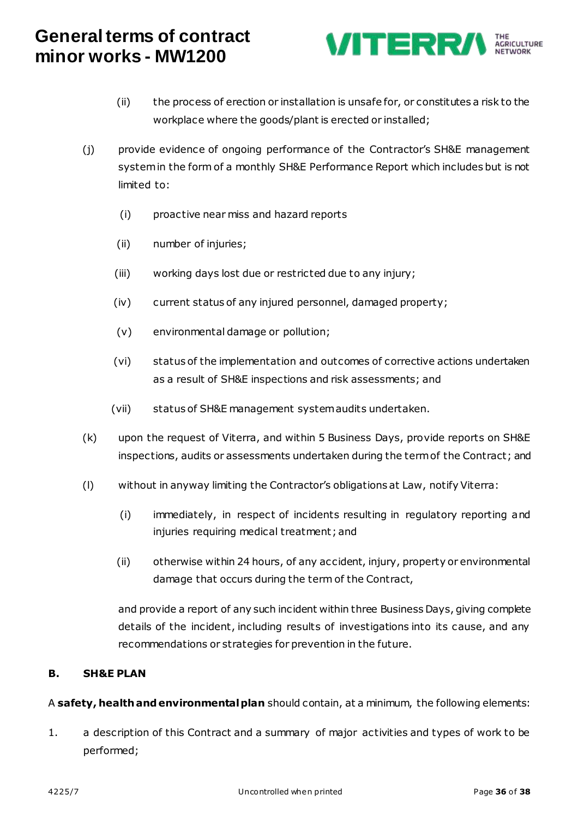

- (ii) the process of erection or installation is unsafe for, or constitutes a risk to the workplace where the goods/plant is erected or installed;
- (j) provide evidence of ongoing performance of the Contractor's SH&E management system in the form of a monthly SH&E Performance Report which includes but is not limited to:
	- (i) proactive near miss and hazard reports
	- (ii) number of injuries;
	- (iii) working days lost due or restricted due to any injury;
	- (iv) current status of any injured personnel, damaged property;
	- (v) environmental damage or pollution;
	- (vi) status of the implementation and outcomes of corrective actions undertaken as a result of SH&E inspections and risk assessments; and
	- (vii) status of SH&E management system audits undertaken.
- (k) upon the request of Viterra, and within 5 Business Days, provide reports on SH&E inspections, audits or assessments undertaken during the term of the Contract; and
- (l) without in anyway limiting the Contractor's obligations at Law, notify Viterra:
	- (i) immediately, in respect of incidents resulting in regulatory reporting and injuries requiring medical treatment; and
	- (ii) otherwise within 24 hours, of any accident, injury, property or environmental damage that occurs during the term of the Contract,

and provide a report of any such incident within three Business Days, giving complete details of the incident, including results of investigations into its cause, and any recommendations or strategies for prevention in the future.

#### **B. SH&E PLAN**

A **safety, health and environmental plan** should contain, at a minimum, the following elements:

1. a description of this Contract and a summary of major activities and types of work to be performed;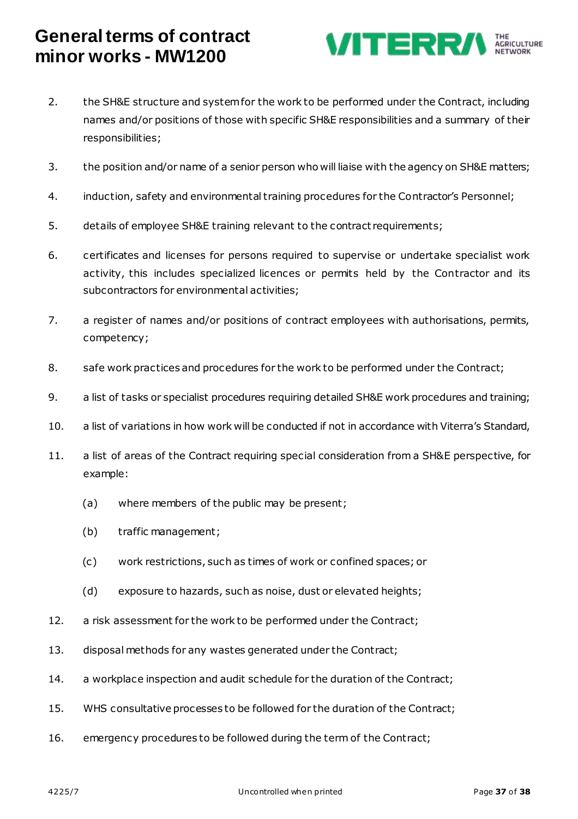

- 2. the SH&E structure and system for the work to be performed under the Contract, including names and/or positions of those with specific SH&E responsibilities and a summary of their responsibilities;
- 3. the position and/or name of a senior person who will liaise with the agency on SH&E matters;
- 4. induction, safety and environmental training procedures for the Contractor's Personnel;
- 5. details of employee SH&E training relevant to the contract requirements;
- 6. certificates and licenses for persons required to supervise or undertake specialist work activity, this includes specialized licences or permits held by the Contractor and its subcontractors for environmental activities;
- 7. a register of names and/or positions of contract employees with authorisations, permits, competency;
- 8. safe work practices and procedures for the work to be performed under the Contract;
- 9. a list of tasks or specialist procedures requiring detailed SH&E work procedures and training;
- 10. a list of variations in how work will be conducted if not in accordance with Viterra's Standard,
- 11. a list of areas of the Contract requiring special consideration from a SH&E perspective, for example:
	- (a) where members of the public may be present;
	- (b) traffic management;
	- (c) work restrictions, such as times of work or confined spaces; or
	- (d) exposure to hazards, such as noise, dust or elevated heights;
- 12. a risk assessment for the work to be performed under the Contract;
- 13. disposal methods for any wastes generated under the Contract;
- 14. a workplace inspection and audit schedule for the duration of the Contract;
- 15. WHS consultative processes to be followed for the duration of the Contract;
- 16. emergency procedures to be followed during the term of the Contract;